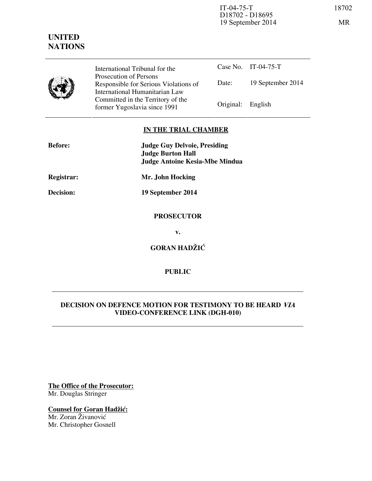IT-04-75-T 18702 D18702 - D18695 19 September 2014 MR

# **UNITED NATIONS**



International Tribunal for the Prosecution of Persons Responsible for Serious Violations of International Humanitarian Law Committed in the Territory of the Former Yugoslavia since 1991 Original: English

Case No. IT-04-75-T Date: 19 September 2014

# **IN THE TRIAL CHAMBER**

| <b>Before:</b> | <b>Judge Guy Delvoie, Presiding</b><br><b>Judge Burton Hall</b><br><b>Judge Antoine Kesia-Mbe Mindua</b> |
|----------------|----------------------------------------------------------------------------------------------------------|
| Registrar:     | Mr. John Hocking                                                                                         |
| Decision:      | 19 September 2014                                                                                        |
|                | <b>PROSECUTOR</b>                                                                                        |
|                | v.                                                                                                       |
|                | <b>GORAN HADŽIĆ</b>                                                                                      |

# **PUBLIC**

# **DECISION ON DEFENCE MOTION FOR TESTIMONY TO BE HEARD VIA VIDEO-CONFERENCE LINK (DGH-010)**

**The Office of the Prosecutor:** Mr. Douglas Stringer

**Counsel for Goran Hadžić:** Mr. Zoran Živanović Mr. Christopher Gosnell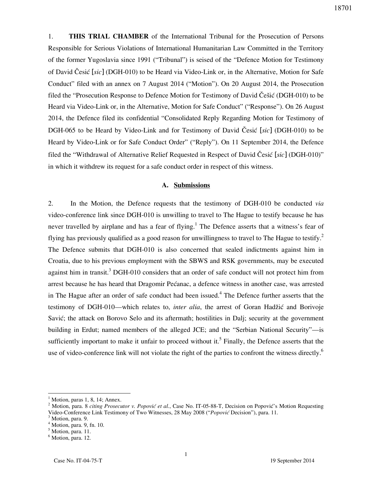1. **THIS TRIAL CHAMBER** of the International Tribunal for the Prosecution of Persons Responsible for Serious Violations of International Humanitarian Law Committed in the Territory of the former Yugoslavia since 1991 ("Tribunal") is seised of the "Defence Motion for Testimony of David Česi} [*sic*] (DGH-010) to be Heard via Video-Link or, in the Alternative, Motion for Safe Conduct" filed with an annex on 7 August 2014 ("Motion"). On 20 August 2014, the Prosecution filed the "Prosecution Response to Defence Motion for Testimony of David Češić (DGH-010) to be Heard via Video-Link or, in the Alternative, Motion for Safe Conduct" ("Response"). On 26 August 2014, the Defence filed its confidential "Consolidated Reply Regarding Motion for Testimony of DGH-065 to be Heard by Video-Link and for Testimony of David Česić [*sic*] (DGH-010) to be Heard by Video-Link or for Safe Conduct Order" ("Reply"). On 11 September 2014, the Defence filed the "Withdrawal of Alternative Relief Requested in Respect of David ^esi} [*sic*] (DGH-010)" in which it withdrew its request for a safe conduct order in respect of this witness.

#### **A. Submissions**

2. In the Motion, the Defence requests that the testimony of DGH-010 be conducted *via* video-conference link since DGH-010 is unwilling to travel to The Hague to testify because he has never travelled by airplane and has a fear of flying.<sup>1</sup> The Defence asserts that a witness's fear of flying has previously qualified as a good reason for unwillingness to travel to The Hague to testify.<sup>2</sup> The Defence submits that DGH-010 is also concerned that sealed indictments against him in Croatia, due to his previous employment with the SBWS and RSK governments, may be executed against him in transit.<sup>3</sup> DGH-010 considers that an order of safe conduct will not protect him from arrest because he has heard that Dragomir Pećanac, a defence witness in another case, was arrested in The Hague after an order of safe conduct had been issued.<sup>4</sup> The Defence further asserts that the testimony of DGH-010—which relates to, *inter alia*, the arrest of Goran Hadžić and Borivoje Savić; the attack on Borovo Selo and its aftermath; hostilities in Dalj; security at the government building in Erdut; named members of the alleged JCE; and the "Serbian National Security"—is sufficiently important to make it unfair to proceed without it.<sup>5</sup> Finally, the Defence asserts that the use of video-conference link will not violate the right of the parties to confront the witness directly.<sup>6</sup>

<sup>1</sup> Motion, paras 1, 8, 14; Annex.

<sup>&</sup>lt;sup>2</sup> Motion, para. 8 *citing Prosecutor v. Popović et al.*, Case No. IT-05-88-T, Decision on Popović's Motion Requesting Video-Conference Link Testimony of Two Witnesses, 28 May 2008 ("*Popović* Decision"), para. 11.

<sup>&</sup>lt;sup>3</sup> Motion, para. 9.

<sup>4</sup> Motion, para. 9, fn. 10.

<sup>&</sup>lt;sup>5</sup> Motion, para. 11.

<sup>&</sup>lt;sup>6</sup> Motion, para. 12.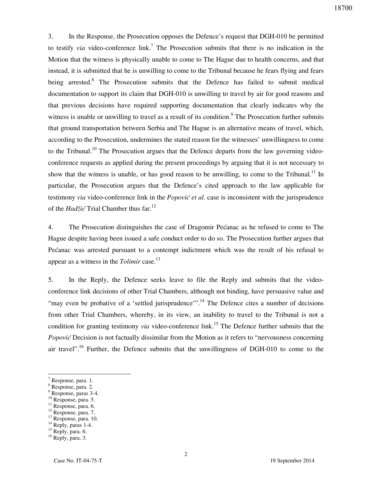3. In the Response, the Prosecution opposes the Defence's request that DGH-010 be permitted to testify *via* video-conference link.<sup>7</sup> The Prosecution submits that there is no indication in the Motion that the witness is physically unable to come to The Hague due to health concerns, and that instead, it is submitted that he is unwilling to come to the Tribunal because he fears flying and fears being arrested.<sup>8</sup> The Prosecution submits that the Defence has failed to submit medical documentation to support its claim that DGH-010 is unwilling to travel by air for good reasons and that previous decisions have required supporting documentation that clearly indicates why the witness is unable or unwilling to travel as a result of its condition.<sup>9</sup> The Prosecution further submits that ground transportation between Serbia and The Hague is an alternative means of travel, which, according to the Prosecution, undermines the stated reason for the witnesses' unwillingness to come to the Tribunal.<sup>10</sup> The Prosecution argues that the Defence departs from the law governing videoconference requests as applied during the present proceedings by arguing that it is not necessary to show that the witness is unable, or has good reason to be unwilling, to come to the Tribunal.<sup>11</sup> In particular, the Prosecution argues that the Defence's cited approach to the law applicable for testimony *via* video-conference link in the *Popović et al.* case is inconsistent with the jurisprudence of the *Hadžić* Trial Chamber thus far.<sup>12</sup>

4. The Prosecution distinguishes the case of Dragomir Pećanac as he refused to come to The Hague despite having been issued a safe conduct order to do so. The Prosecution further argues that Pećanac was arrested pursuant to a contempt indictment which was the result of his refusal to appear as a witness in the *Tolimir* case.<sup>13</sup>

5. In the Reply, the Defence seeks leave to file the Reply and submits that the videoconference link decisions of other Trial Chambers, although not binding, have persuasive value and "may even be probative of a 'settled jurisprudence"<sup>14</sup> The Defence cites a number of decisions from other Trial Chambers, whereby, in its view, an inability to travel to the Tribunal is not a condition for granting testimony *via* video-conference link.<sup>15</sup> The Defence further submits that the *Popović* Decision is not factually dissimilar from the Motion as it refers to "nervousness concerning air travel".<sup>16</sup> Further, the Defence submits that the unwillingness of DGH-010 to come to the

 $\overline{a}$ 

 $^{10}$  Response, para. 5.

<sup>12</sup> Response, para. 7. <sup>13</sup> Response, para. 10.

<sup>15</sup> Reply, para. 6.

<sup>7</sup> Response, para. 1.

<sup>8</sup> Response, para. 2.

<sup>9</sup> Response, paras 3-4.

<sup>&</sup>lt;sup>11</sup> Response, para. 6.

<sup>&</sup>lt;sup>14</sup> Reply, paras 1-4.

<sup>&</sup>lt;sup>16</sup> Reply, para. 3.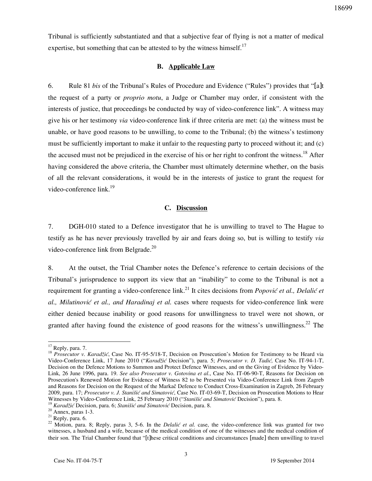Tribunal is sufficiently substantiated and that a subjective fear of flying is not a matter of medical expertise, but something that can be attested to by the witness himself. $17$ 

## **B. Applicable Law**

6. Rule 81 *bis* of the Tribunal's Rules of Procedure and Evidence ("Rules") provides that "[a]t the request of a party or *proprio motu*, a Judge or Chamber may order, if consistent with the interests of justice, that proceedings be conducted by way of video-conference link". A witness may give his or her testimony *via* video-conference link if three criteria are met: (a) the witness must be unable, or have good reasons to be unwilling, to come to the Tribunal; (b) the witness's testimony must be sufficiently important to make it unfair to the requesting party to proceed without it; and (c) the accused must not be prejudiced in the exercise of his or her right to confront the witness.<sup>18</sup> After having considered the above criteria, the Chamber must ultimately determine whether, on the basis of all the relevant considerations, it would be in the interests of justice to grant the request for video-conference  $link.<sup>19</sup>$ 

## **C. Discussion**

7. DGH-010 stated to a Defence investigator that he is unwilling to travel to The Hague to testify as he has never previously travelled by air and fears doing so, but is willing to testify *via* video-conference link from Belgrade.<sup>20</sup>

8. At the outset, the Trial Chamber notes the Defence's reference to certain decisions of the Tribunal's jurisprudence to support its view that an "inability" to come to the Tribunal is not a requirement for granting a video-conference link.<sup>21</sup> It cites decisions from *Popović et al., Delalić et al., Milutinović et al., and Haradinaj et al.* cases where requests for video-conference link were either denied because inability or good reasons for unwillingness to travel were not shown, or granted after having found the existence of good reasons for the witness's unwillingness.<sup>22</sup> The

 $17$  Reply, para. 7.

<sup>&</sup>lt;sup>18</sup> *Prosecutor v. Karadžić*, Case No. IT-95-5/18-T, Decision on Prosecution's Motion for Testimony to be Heard via Video-Conference Link, 17 June 2010 ("*Karadžić* Decision"), para. 5; *Prosecutor v. D. Tadić,* Case No. IT-94-1-T, Decision on the Defence Motions to Summon and Protect Defence Witnesses, and on the Giving of Evidence by Video-Link, 26 June 1996, para. 19. *See also Prosecutor v. Gotovina et al*., Case No. IT-06-90-T, Reasons for Decision on Prosecution's Renewed Motion for Evidence of Witness 82 to be Presented via Video-Conference Link from Zagreb and Reasons for Decision on the Request of the Markač Defence to Conduct Cross-Examination in Zagreb, 26 February 2009, para. 17; *Prosecutor v. J. Stanišić and Simatović*, Case No. IT-03-69-T, Decision on Prosecution Motions to Hear Witnesses by Video-Conference Link, 25 February 2010 ("*Stanišić and Simatović* Decision"), para. 8.

<sup>&</sup>lt;sup>19</sup> Karadžić Decision, para. 6; *Stanišić and Simatović* Decision, para. 8.

 $20$  Annex, paras 1-3.

 $21$  Reply, para. 6.

<sup>&</sup>lt;sup>22</sup> Motion, para. 8; Reply, paras 3, 5-6. In the *Delalić et al.* case, the video-conference link was granted for two witnesses, a husband and a wife, because of the medical condition of one of the witnesses and the medical condition of their son. The Trial Chamber found that "[t]hese critical conditions and circumstances [made] them unwilling to travel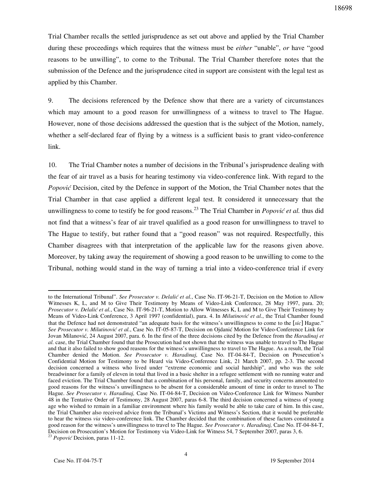Trial Chamber recalls the settled jurisprudence as set out above and applied by the Trial Chamber during these proceedings which requires that the witness must be *either* "unable", *or* have "good reasons to be unwilling", to come to the Tribunal. The Trial Chamber therefore notes that the submission of the Defence and the jurisprudence cited in support are consistent with the legal test as applied by this Chamber.

9. The decisions referenced by the Defence show that there are a variety of circumstances which may amount to a good reason for unwillingness of a witness to travel to The Hague. However, none of those decisions addressed the question that is the subject of the Motion, namely, whether a self-declared fear of flying by a witness is a sufficient basis to grant video-conference link.

10. The Trial Chamber notes a number of decisions in the Tribunal's jurisprudence dealing with the fear of air travel as a basis for hearing testimony via video-conference link. With regard to the *Popović* Decision, cited by the Defence in support of the Motion, the Trial Chamber notes that the Trial Chamber in that case applied a different legal test. It considered it unnecessary that the unwillingness to come to testify be for good reasons.<sup>23</sup> The Trial Chamber in *Popović et al.* thus did not find that a witness's fear of air travel qualified as a good reason for unwillingness to travel to The Hague to testify, but rather found that a "good reason" was not required. Respectfully, this Chamber disagrees with that interpretation of the applicable law for the reasons given above. Moreover, by taking away the requirement of showing a good reason to be unwilling to come to the Tribunal, nothing would stand in the way of turning a trial into a video-conference trial if every

to the International Tribunal". *See Prosecutor v. Delalić et al.*, Case No. IT-96-21-T, Decision on the Motion to Allow Witnesses K, L, and M to Give Their Testimony by Means of Video-Link Conference, 28 May 1997, para. 20; *Prosecutor v. Delali} et al.*, Case No. IT-96-21-T, Motion to Allow Witnesses K, L and M to Give Their Testimony by Means of Video-Link Conference, 3 April 1997 (confidential), para. 4. In *Milutinović et al.*, the Trial Chamber found that the Defence had not demonstrated "an adequate basis for the witness's unwillingness to come to the [*sic*] Hague." See Prosecutor v. Milutinović et al., Case No. IT-05-87-T, Decision on Ojdanić Motion for Video-Conference Link for Jovan Milanović, 24 August 2007, para. 6. In the first of the three decisions cited by the Defence from the *Haradinaj et al.* case, the Trial Chamber found that the Prosecution had not shown that the witness was unable to travel to The Hague and that it also failed to show good reasons for the witness's unwillingness to travel to The Hague. As a result, the Trial Chamber denied the Motion. *See Prosecutor v. Haradinaj,* Case No. IT-04-84-T, Decision on Prosecution's Confidential Motion for Testimony to be Heard via Video-Conference Link, 21 March 2007, pp. 2-3. The second decision concerned a witness who lived under "extreme economic and social hardship", and who was the sole breadwinner for a family of eleven in total that lived in a basic shelter in a refugee settlement with no running water and faced eviction. The Trial Chamber found that a combination of his personal, family, and security concerns amounted to good reasons for the witness's unwillingness to be absent for a considerable amount of time in order to travel to The Hague. *See Prosecutor v. Haradinaj,* Case No. IT-04-84-T, Decision on Video-Conference Link for Witness Number 48 in the Tentative Order of Testimony, 28 August 2007, paras 6-8. The third decision concerned a witness of young age who wished to remain in a familiar environment where his family would be able to take care of him. In this case, the Trial Chamber also received advice from the Tribunal's Victims and Witness's Section, that it would be preferable to hear the witness *via* video-conference link. The Chamber decided that the combination of these factors constituted a good reason for the witness's unwillingness to travel to The Hague. *See Prosecutor v. Haradinaj,* Case No. IT-04-84-T, Decision on Prosecution's Motion for Testimony via Video-Link for Witness 54, 7 September 2007, paras 3, 6.

<sup>23</sup> *Popović* Decision, paras 11-12.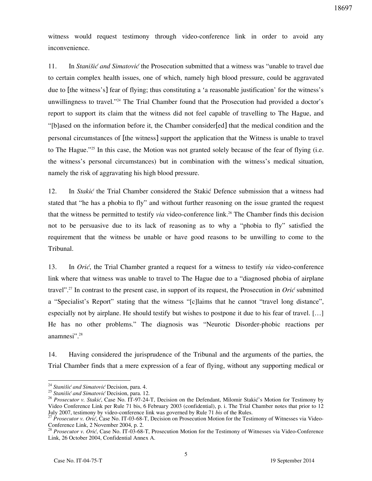witness would request testimony through video-conference link in order to avoid any inconvenience.

11. In *Stanišić and Simatović* the Prosecution submitted that a witness was "unable to travel due to certain complex health issues, one of which, namely high blood pressure, could be aggravated due to [the witness's] fear of flying; thus constituting a 'a reasonable justification' for the witness's unwillingness to travel."<sup>24</sup> The Trial Chamber found that the Prosecution had provided a doctor's report to support its claim that the witness did not feel capable of travelling to The Hague, and "[b]ased on the information before it, the Chamber consider[ed] that the medical condition and the personal circumstances of [the witness] support the application that the Witness is unable to travel to The Hague."<sup>25</sup> In this case, the Motion was not granted solely because of the fear of flying (i.e. the witness's personal circumstances) but in combination with the witness's medical situation, namely the risk of aggravating his high blood pressure.

12. In *Stakić* the Trial Chamber considered the Stakić Defence submission that a witness had stated that "he has a phobia to fly" and without further reasoning on the issue granted the request that the witness be permitted to testify *via* video-conference link.<sup>26</sup> The Chamber finds this decision not to be persuasive due to its lack of reasoning as to why a "phobia to fly" satisfied the requirement that the witness be unable or have good reasons to be unwilling to come to the Tribunal.

13. In *Orić*, the Trial Chamber granted a request for a witness to testify *via* video-conference link where that witness was unable to travel to The Hague due to a "diagnosed phobia of airplane travel".<sup>27</sup> In contrast to the present case, in support of its request, the Prosecution in *Orić* submitted a "Specialist's Report" stating that the witness "[c]laims that he cannot "travel long distance", especially not by airplane. He should testify but wishes to postpone it due to his fear of travel.  $[...]$ He has no other problems." The diagnosis was "Neurotic Disorder-phobic reactions per anamnesi".<sup>28</sup>

14. Having considered the jurisprudence of the Tribunal and the arguments of the parties, the Trial Chamber finds that a mere expression of a fear of flying, without any supporting medical or

<sup>&</sup>lt;sup>24</sup> Stanišić and Simatović Decision, para. 4.

<sup>25</sup> *Stanišić and Simatović* Decision, para. 12.

<sup>26</sup> *Prosecutor v. Stakić*, Case No. IT-97-24-T, Decision on the Defendant, Milomir Stakić's Motion for Testimony by Video Conference Link per Rule 71 bis, 6 February 2003 (confidential), p. i. The Trial Chamber notes that prior to 12 July 2007, testimony by video-conference link was governed by Rule 71 *bis* of the Rules.

<sup>&</sup>lt;sup>27</sup> *Prosecutor v. Orić*, Case No. IT-03-68-T, Decision on Prosecution Motion for the Testimony of Witnesses via Video-Conference Link, 2 November 2004, p. 2.

<sup>&</sup>lt;sup>28</sup> *Prosecutor v. Orić*, Case No. IT-03-68-T, Prosecution Motion for the Testimony of Witnesses via Video-Conference Link, 26 October 2004, Confidential Annex A.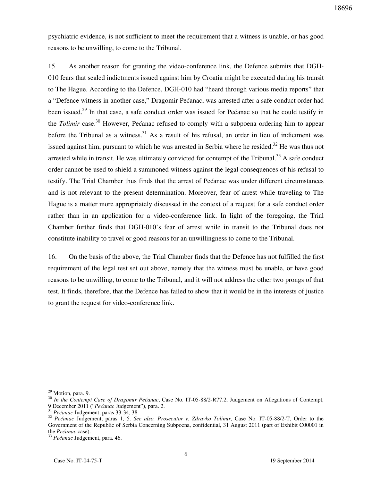psychiatric evidence, is not sufficient to meet the requirement that a witness is unable, or has good reasons to be unwilling, to come to the Tribunal.

15. As another reason for granting the video-conference link, the Defence submits that DGH-010 fears that sealed indictments issued against him by Croatia might be executed during his transit to The Hague. According to the Defence, DGH-010 had "heard through various media reports" that a "Defence witness in another case," Dragomir Pećanac, was arrested after a safe conduct order had been issued.<sup>29</sup> In that case, a safe conduct order was issued for Pećanac so that he could testify in the *Tolimir* case.<sup>30</sup> However, Pećanac refused to comply with a subpoena ordering him to appear before the Tribunal as a witness.<sup>31</sup> As a result of his refusal, an order in lieu of indictment was issued against him, pursuant to which he was arrested in Serbia where he resided.<sup>32</sup> He was thus not arrested while in transit. He was ultimately convicted for contempt of the Tribunal.<sup>33</sup> A safe conduct order cannot be used to shield a summoned witness against the legal consequences of his refusal to testify. The Trial Chamber thus finds that the arrest of Pećanac was under different circumstances and is not relevant to the present determination. Moreover, fear of arrest while traveling to The Hague is a matter more appropriately discussed in the context of a request for a safe conduct order rather than in an application for a video-conference link. In light of the foregoing, the Trial Chamber further finds that DGH-010's fear of arrest while in transit to the Tribunal does not constitute inability to travel or good reasons for an unwillingness to come to the Tribunal.

16. On the basis of the above, the Trial Chamber finds that the Defence has not fulfilled the first requirement of the legal test set out above, namely that the witness must be unable, or have good reasons to be unwilling, to come to the Tribunal, and it will not address the other two prongs of that test. It finds, therefore, that the Defence has failed to show that it would be in the interests of justice to grant the request for video-conference link.

<sup>&</sup>lt;sup>29</sup> Motion, para. 9.

<sup>&</sup>lt;sup>30</sup> In the Contempt Case of Dragomir Pećanac, Case No. IT-05-88/2-R77.2, Judgement on Allegations of Contempt, 9 December 2011 ("Pećanac Judgement"), para. 2.

<sup>&</sup>lt;sup>31</sup> Pećanac Judgement, paras 33-34, 38.

<sup>&</sup>lt;sup>32</sup> *Pećanac* Judgement, paras 1, 5. *See also, Prosecutor v. Zdravko Tolimir*, Case No. IT-05-88/2-T, Order to the Government of the Republic of Serbia Concerning Subpoena, confidential, 31 August 2011 (part of Exhibit C00001 in the Pećanac case).

<sup>&</sup>lt;sup>33</sup> Pećanac Judgement, para. 46.